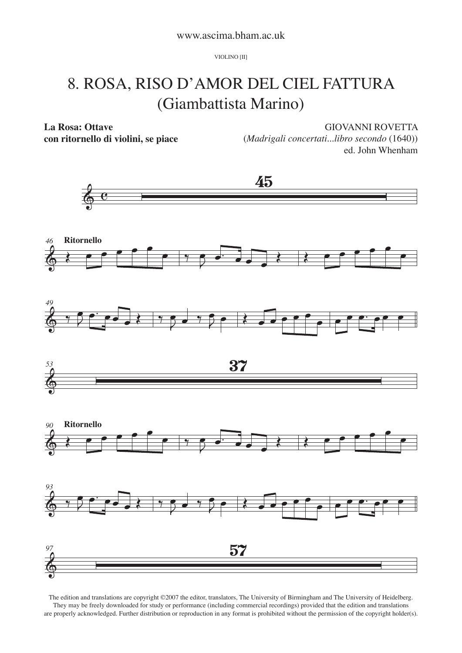VIOLINO [II]

## 8. ROSA, RISO D'AMOR DEL CIEL FATTURA (Giambattista Marino)

**La Rosa: Ottave**

**con ritornello di violini, se piace**

GIOVANNI ROVETTA

(*Madrigali concertati...libro secondo* (1640)) ed. John Whenham



The edition and translations are copyright ©2007 the editor, translators, The University of Birmingham and The University of Heidelberg. They may be freely downloaded for study or performance (including commercial recordings) provided that the edition and translations are properly acknowledged. Further distribution or reproduction in any format is prohibited without the permission of the copyright holder(s).